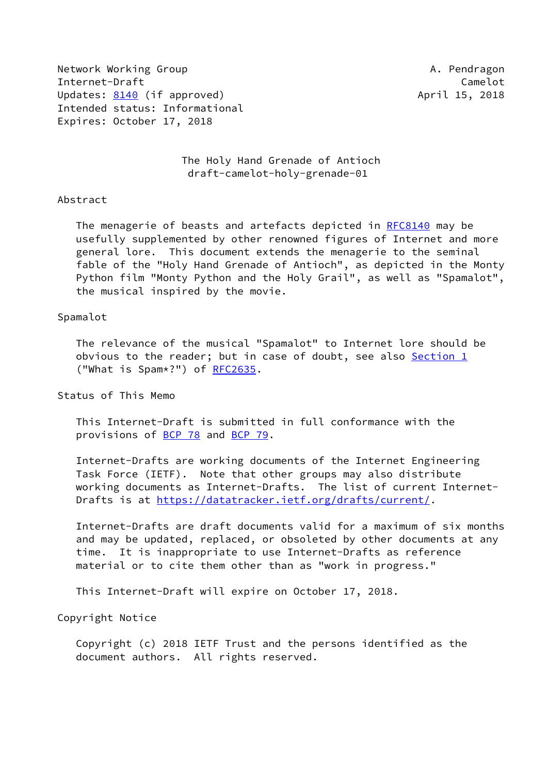Network Working Group **A. Pendragon** Internet-Draft Camelot Updates: [8140](https://datatracker.ietf.org/doc/pdf/rfc8140) (if approved) and the control of the April 15, 2018 Intended status: Informational Expires: October 17, 2018

 The Holy Hand Grenade of Antioch draft-camelot-holy-grenade-01

#### Abstract

The menagerie of beasts and artefacts depicted in [RFC8140](https://datatracker.ietf.org/doc/pdf/rfc8140) may be usefully supplemented by other renowned figures of Internet and more general lore. This document extends the menagerie to the seminal fable of the "Holy Hand Grenade of Antioch", as depicted in the Monty Python film "Monty Python and the Holy Grail", as well as "Spamalot", the musical inspired by the movie.

#### Spamalot

 The relevance of the musical "Spamalot" to Internet lore should be obvious to the reader; but in case of doubt, see also [Section 1](#page-1-0) ("What is Spam\*?") of [RFC2635](https://datatracker.ietf.org/doc/pdf/rfc2635).

Status of This Memo

 This Internet-Draft is submitted in full conformance with the provisions of [BCP 78](https://datatracker.ietf.org/doc/pdf/bcp78) and [BCP 79](https://datatracker.ietf.org/doc/pdf/bcp79).

 Internet-Drafts are working documents of the Internet Engineering Task Force (IETF). Note that other groups may also distribute working documents as Internet-Drafts. The list of current Internet- Drafts is at<https://datatracker.ietf.org/drafts/current/>.

 Internet-Drafts are draft documents valid for a maximum of six months and may be updated, replaced, or obsoleted by other documents at any time. It is inappropriate to use Internet-Drafts as reference material or to cite them other than as "work in progress."

This Internet-Draft will expire on October 17, 2018.

Copyright Notice

 Copyright (c) 2018 IETF Trust and the persons identified as the document authors. All rights reserved.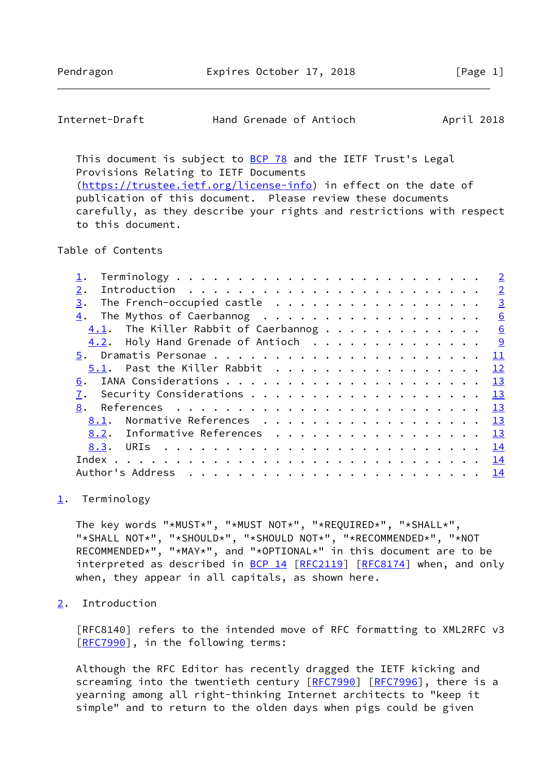## <span id="page-1-1"></span>Internet-Draft Hand Grenade of Antioch April 2018

This document is subject to [BCP 78](https://datatracker.ietf.org/doc/pdf/bcp78) and the IETF Trust's Legal Provisions Relating to IETF Documents [\(https://trustee.ietf.org/license-info](https://trustee.ietf.org/license-info)) in effect on the date of publication of this document. Please review these documents carefully, as they describe your rights and restrictions with respect to this document.

#### Table of Contents

|  |  | $\overline{2}$                                                                                                                                                                                                                   |
|--|--|----------------------------------------------------------------------------------------------------------------------------------------------------------------------------------------------------------------------------------|
|  |  |                                                                                                                                                                                                                                  |
|  |  | $\overline{3}$                                                                                                                                                                                                                   |
|  |  | 6                                                                                                                                                                                                                                |
|  |  |                                                                                                                                                                                                                                  |
|  |  |                                                                                                                                                                                                                                  |
|  |  | $\mathbf{\underline{11}}$                                                                                                                                                                                                        |
|  |  | 12                                                                                                                                                                                                                               |
|  |  | 13                                                                                                                                                                                                                               |
|  |  |                                                                                                                                                                                                                                  |
|  |  |                                                                                                                                                                                                                                  |
|  |  |                                                                                                                                                                                                                                  |
|  |  |                                                                                                                                                                                                                                  |
|  |  |                                                                                                                                                                                                                                  |
|  |  |                                                                                                                                                                                                                                  |
|  |  |                                                                                                                                                                                                                                  |
|  |  | The French-occupied castle<br>The Mythos of Caerbannog<br>4.2. Holy Hand Grenade of Antioch 9<br>5.1. Past the Killer Rabbit<br>Security Considerations $\cdots$ 13<br>Normative References 13<br>8.2. Informative References 13 |

#### <span id="page-1-0"></span>[1](#page-1-0). Terminology

 The key words "\*MUST\*", "\*MUST NOT\*", "\*REQUIRED\*", "\*SHALL\*", "\*SHALL NOT\*", "\*SHOULD\*", "\*SHOULD NOT\*", "\*RECOMMENDED\*", "\*NOT RECOMMENDED\*", "\*MAY\*", and "\*OPTIONAL\*" in this document are to be interpreted as described in [BCP 14](https://datatracker.ietf.org/doc/pdf/bcp14) [[RFC2119\]](https://datatracker.ietf.org/doc/pdf/rfc2119) [\[RFC8174](https://datatracker.ietf.org/doc/pdf/rfc8174)] when, and only when, they appear in all capitals, as shown here.

# <span id="page-1-2"></span>[2](#page-1-2). Introduction

 [RFC8140] refers to the intended move of RFC formatting to XML2RFC v3 [\[RFC7990](https://datatracker.ietf.org/doc/pdf/rfc7990)], in the following terms:

 Although the RFC Editor has recently dragged the IETF kicking and screaming into the twentieth century [\[RFC7990](https://datatracker.ietf.org/doc/pdf/rfc7990)] [\[RFC7996](https://datatracker.ietf.org/doc/pdf/rfc7996)], there is a yearning among all right-thinking Internet architects to "keep it simple" and to return to the olden days when pigs could be given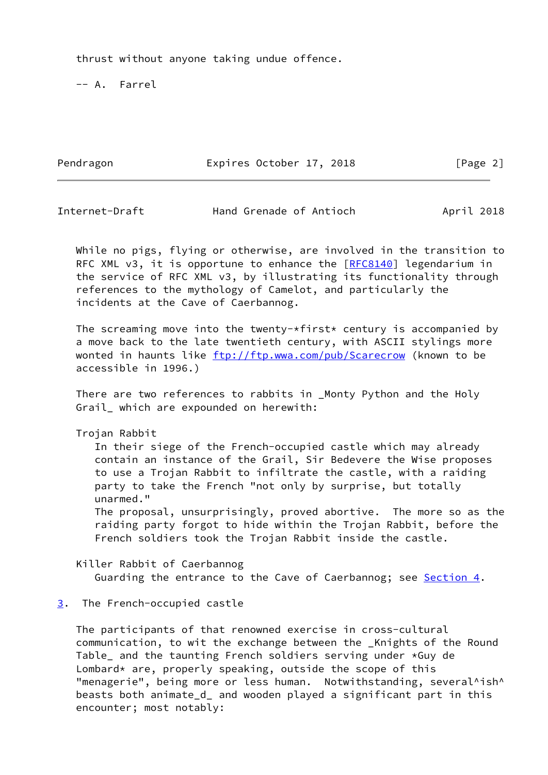thrust without anyone taking undue offence.

-- A. Farrel

Pendragon **Expires October 17, 2018** [Page 2]

<span id="page-2-1"></span>Internet-Draft Hand Grenade of Antioch April 2018

 While no pigs, flying or otherwise, are involved in the transition to RFC XML v3, it is opportune to enhance the  $[REC8140]$  legendarium in the service of RFC XML v3, by illustrating its functionality through references to the mythology of Camelot, and particularly the incidents at the Cave of Caerbannog.

The screaming move into the twenty-\*first\* century is accompanied by a move back to the late twentieth century, with ASCII stylings more wonted in haunts like<ftp://ftp.wwa.com/pub/Scarecrow> (known to be accessible in 1996.)

 There are two references to rabbits in \_Monty Python and the Holy Grail\_ which are expounded on herewith:

Trojan Rabbit

 In their siege of the French-occupied castle which may already contain an instance of the Grail, Sir Bedevere the Wise proposes to use a Trojan Rabbit to infiltrate the castle, with a raiding party to take the French "not only by surprise, but totally unarmed."

 The proposal, unsurprisingly, proved abortive. The more so as the raiding party forgot to hide within the Trojan Rabbit, before the French soldiers took the Trojan Rabbit inside the castle.

 Killer Rabbit of Caerbannog Guarding the entrance to the Cave of Caerbannog; see **Section 4.** 

### <span id="page-2-0"></span>[3](#page-2-0). The French-occupied castle

 The participants of that renowned exercise in cross-cultural communication, to wit the exchange between the \_Knights of the Round Table\_ and the taunting French soldiers serving under \*Guy de Lombard\* are, properly speaking, outside the scope of this "menagerie", being more or less human. Notwithstanding, several^ish^ beasts both animate\_d\_ and wooden played a significant part in this encounter; most notably: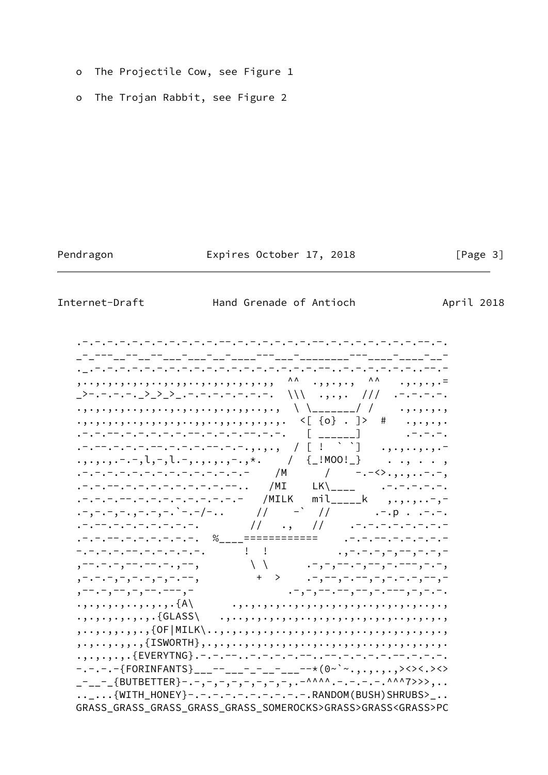- The Projectile Cow, see Figure 1  $\mathsf{o}$
- The Trojan Rabbit, see Figure 2  $\circ$

Pendragon

Expires October 17, 2018

 $\lceil \text{Page } 3 \rceil$ 

Internet-Draft

Hand Grenade of Antioch

April 2018

\_>-.-.-.-.\_>\_>\_>\_.-.-.-.-.-.-.-. \\\ .,.,. /// .-.-.-.-. . , . , . , . ,  $\cdot$  ,  $\cdot$  ,  $\cdot$  ,  $\cdot$ .-.-.--.-.-.-.-.-.-.-.-.-.--.-.-. [ \_\_\_\_\_\_] . .-.-.-.  $\ldots, \ldots, \ldots$ .,.,.,.-.-,1,-,1.-,.,.,.,-.,\*. / {\_!MOO!\_} . ., . . .<br>.-.-.-.-.-.-.-.-.-.-.-.-. /M / -.-<>.,,,..-.-,<br>.-.-.--.-.-.-.-.-.----. /MI LK\\_\_\_\_ .-.-.-.--.  $\cdot$  -  $\cdot$   $\cdot$   $\cdot$  -  $\cdot$  -  $\cdot$  $- - - - - - - - - - - - - - - - - \, .\, , - . - . - , - , - , - . - , \setlength{\unitlength}{2pt} \put(0,0){\unitlength}{1pt} \put(1,0){\unitlength}{1pt} \put(2,0){\unitlength}{1pt} \put(3,0){\unitlength}{1pt} \put(4,0){\unitlength}{1pt} \put(5,0){\unitlength}{1pt} \put(5,0){\unitlength}{1pt} \put(5,0){\unitlength}{1pt} \put(5,0){\unitlength}{1pt} \put(5,0){\unitlength}{1pt} \put(5,0){\unitlength}{1pt} \put(5,0){\unitlength}{1pt} \put(5,0){\unitlength}{1pt} \put(5,0){\unitlength}{1pt} \put(5,0){\unitlength}{1pt}$ , --, -, -, --, --, -, --,<br>, -. - . - , - , - . - , - , - . - , , -- . - , -- , - , -- . --- , - $\cdot$  ,  $\cdot$  ,  $\cdot$  ,  $\cdot$  ,  $\cdot$  ,  $\cdot$  ,  $\cdot$  ,  $\cdot$  ,  $\{A\}$  $\{ \text{ISWORTH}\}, \ldots, \text{SUSU}$ -.-.-.-{FORINFANTS}\_\_\_--\_\_\_-\_-\_\_-\_\_-\_-\*(0~`~.,.,.,><><.><> \_-\_\_-\_{BUTBETTER}-.-,-,-,-,-,-,-,-,-.<sup>^^^^</sup>^.-.-.-.<sup>^^^^</sup>7>>>,.. ..\_...{WITH\_HONEY}-.-.-.-.-.-.-.-.-.-.RANDOM(BUSH)SHRUBS>\_.. GRASS\_GRASS\_GRASS\_GRASS\_GRASS\_SOMEROCKS>GRASS>GRASS<GRASS>PC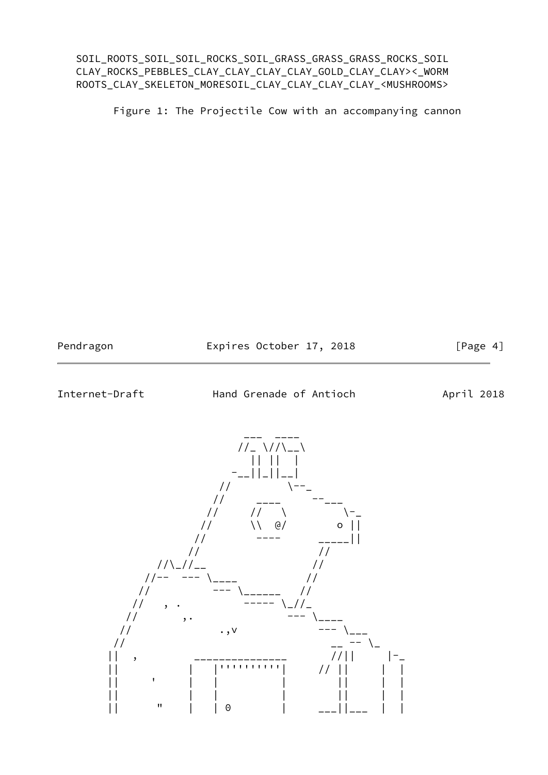SOIL\_ROOTS\_SOIL\_SOIL\_ROCKS\_SOIL\_GRASS\_GRASS\_GRASS\_ROCKS\_SOIL CLAY\_ROCKS\_PEBBLES\_CLAY\_CLAY\_CLAY\_CLAY\_GOLD\_CLAY\_CLAY><\_WORM ROOTS\_CLAY\_SKELETON\_MORESOIL\_CLAY\_CLAY\_CLAY\_CLAY\_<MUSHROOMS>

Figure 1: The Projectile Cow with an accompanying cannon

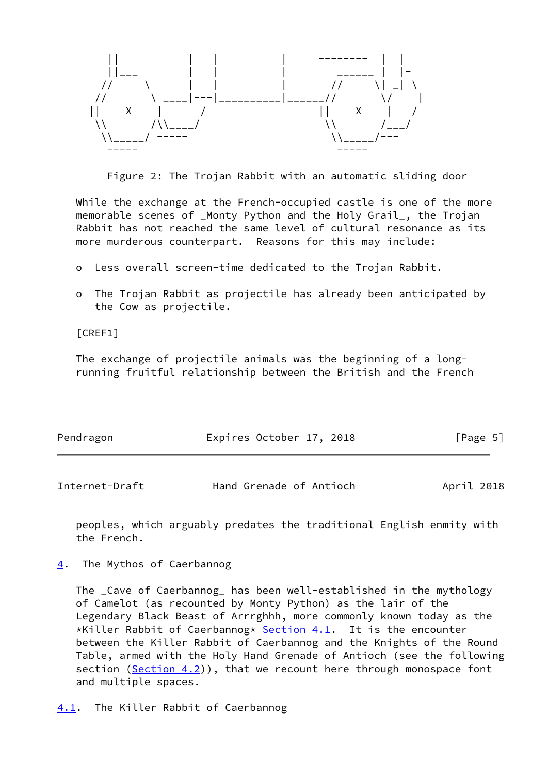

Figure 2: The Trojan Rabbit with an automatic sliding door

 While the exchange at the French-occupied castle is one of the more memorable scenes of \_Monty Python and the Holy Grail\_, the Trojan Rabbit has not reached the same level of cultural resonance as its more murderous counterpart. Reasons for this may include:

- o Less overall screen-time dedicated to the Trojan Rabbit.
- o The Trojan Rabbit as projectile has already been anticipated by the Cow as projectile.

[CREF1]

 The exchange of projectile animals was the beginning of a long running fruitful relationship between the British and the French

| Pendragon | Expires October 17, 2018 | [Page 5] |
|-----------|--------------------------|----------|
|           |                          |          |

<span id="page-5-1"></span>

| Internet-Draft | Hand Grenade of Antioch | April 2018 |
|----------------|-------------------------|------------|
|----------------|-------------------------|------------|

 peoples, which arguably predates the traditional English enmity with the French.

<span id="page-5-0"></span>[4](#page-5-0). The Mythos of Caerbannog

<span id="page-5-2"></span> The \_Cave of Caerbannog\_ has been well-established in the mythology of Camelot (as recounted by Monty Python) as the lair of the Legendary Black Beast of Arrrghhh, more commonly known today as the \*Killer Rabbit of Caerbannog\* [Section 4.1](#page-5-2). It is the encounter between the Killer Rabbit of Caerbannog and the Knights of the Round Table, armed with the Holy Hand Grenade of Antioch (see the following section  $(Section 4.2)$ , that we recount here through monospace font and multiple spaces.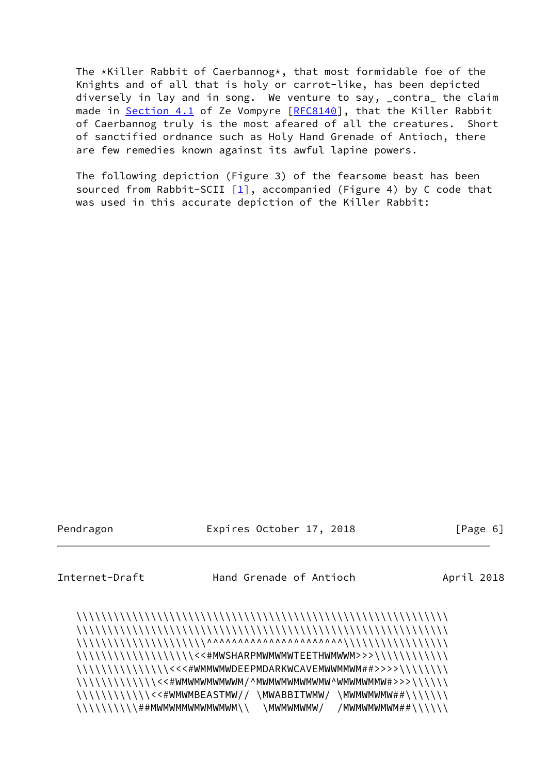The \*Killer Rabbit of Caerbannog\*, that most formidable foe of the Knights and of all that is holy or carrot-like, has been depicted diversely in lay and in song. We venture to say, \_contra\_ the claim made in [Section 4.1](#page-5-2) of Ze Vompyre [[RFC8140](https://datatracker.ietf.org/doc/pdf/rfc8140)], that the Killer Rabbit of Caerbannog truly is the most afeared of all the creatures. Short of sanctified ordnance such as Holy Hand Grenade of Antioch, there are few remedies known against its awful lapine powers.

 The following depiction (Figure 3) of the fearsome beast has been sourced from Rabbit-SCII  $[1]$ , accompanied (Figure 4) by C code that was used in this accurate depiction of the Killer Rabbit:

Pendragon **Expires October 17, 2018** [Page 6]

Internet-Draft Hand Grenade of Antioch April 2018

 \\\\\\\\\\\\\\\\\\\\\\\\\\\\\\\\\\\\\\\\\\\\\\\\\\\\\\\\\\\\ \\\\\\\\\\\\\\\\\\\\\\\\\\\\\\\\\\\\\\\\\\\\\\\\\\\\\\\\\\\\ \\\\\\\\\\\\\\\\\\\\\^^^^^^^^^^^^^^^^^^^^^^\\\\\\\\\\\\\\\\\ \\\\\\\\\\\\\\\\\\\<<#MWSHARPMWMWMWTEETHWMWWM>>>\\\\\\\\\\\\ \\\\\\\\\\\\\\\\\\<<<#WMMWMWDEEPMDARKWCAVEMWWMMWM##>>>>\\\\\\\\ \\\\\\\\\\\\\<<#WMWMWMWMWWM/^MWMWMWMWMWMW^WMWMWMMW#>>>\\\\\\ \\\\\\\\\\\\<<#WMWMBEASTMW// \MWABBITWMW/ \MWMWMWMW##\\\\\\\ \\\\\\\\\\##MWMWMMWMWMWMWM\\ \MWMWMWMW/ /MWMWMWMWM##\\\\\\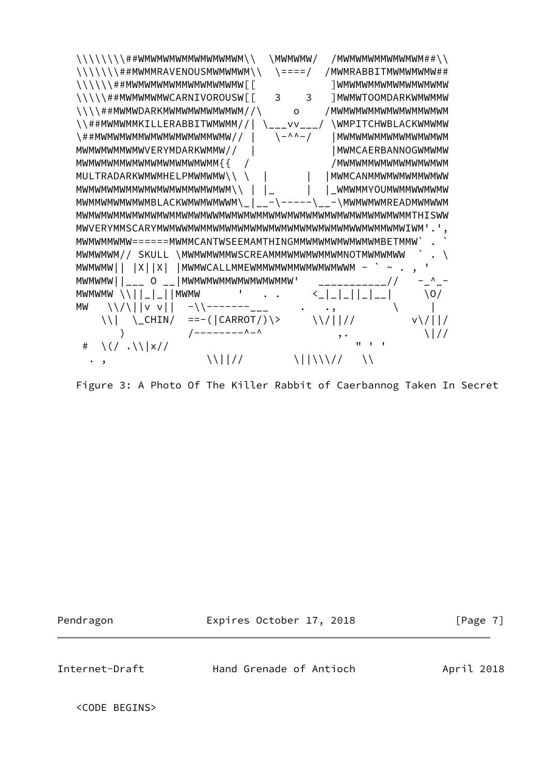

Figure 3: A Photo Of The Killer Rabbit of Caerbannog Taken In Secret

Pendragon Expires October 17, 2018 [Page 7]

Internet-Draft Hand Grenade of Antioch April 2018

<CODE BEGINS>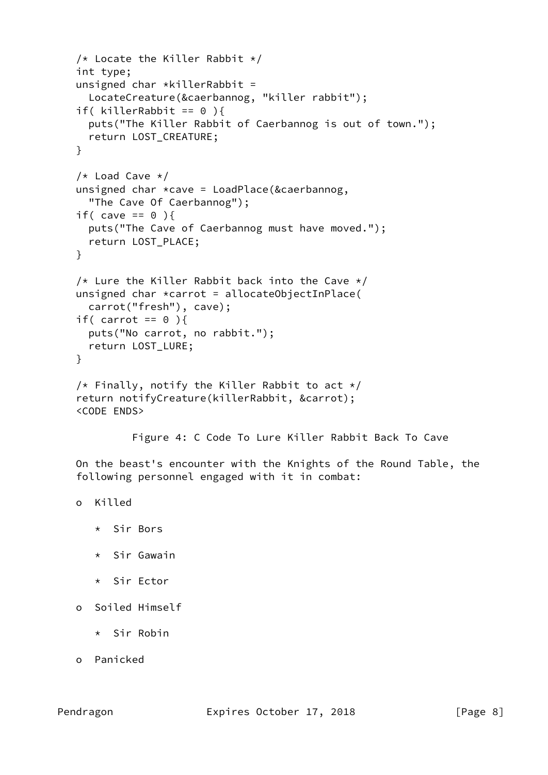```
/* Locate the Killer Rabbit */ int type;
unsigned char *killerRabbit =
   LocateCreature(&caerbannog, "killer rabbit");
if( killerRabbit == 0 ){
   puts("The Killer Rabbit of Caerbannog is out of town.");
   return LOST_CREATURE;
 }
/* Load Cave */ unsigned char *cave = LoadPlace(&caerbannog,
   "The Cave Of Caerbannog");
if( cave == 0 ){
   puts("The Cave of Caerbannog must have moved.");
   return LOST_PLACE;
 }
/* Lure the Killer Rabbit back into the Cave */unsigned char *carrot = allocateObjectInPlace( carrot("fresh"), cave);
if( carrot == 0 ){
  puts("No carrot, no rabbit.");
   return LOST_LURE;
 }
/* Finally, notify the Killer Rabbit to act */ return notifyCreature(killerRabbit, &carrot);
 <CODE ENDS>
          Figure 4: C Code To Lure Killer Rabbit Back To Cave
```
 On the beast's encounter with the Knights of the Round Table, the following personnel engaged with it in combat:

```
 o Killed
```
- \* Sir Bors
- \* Sir Gawain
- \* Sir Ector

```
 o Soiled Himself
```
- \* Sir Robin
- o Panicked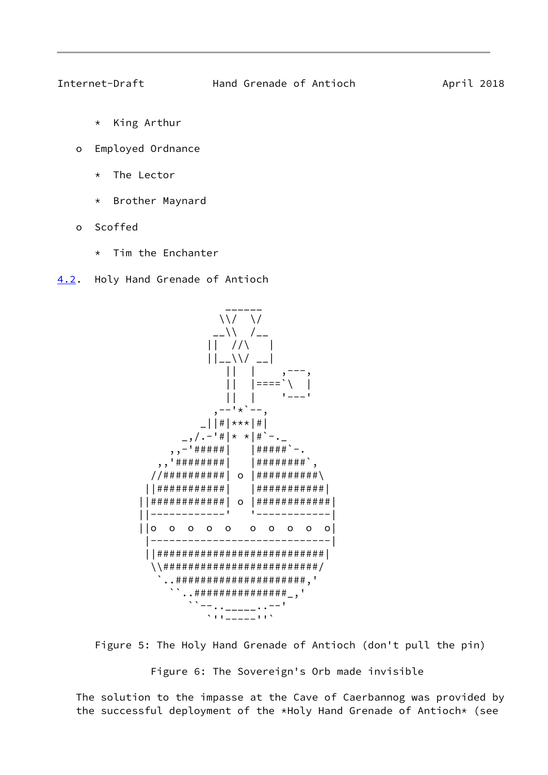<span id="page-9-1"></span>

- \* King Arthur
- o Employed Ordnance
	- \* The Lector
	- \* Brother Maynard
- o Scoffed
	- \* Tim the Enchanter
- <span id="page-9-0"></span>[4.2](#page-9-0). Holy Hand Grenade of Antioch



Figure 5: The Holy Hand Grenade of Antioch (don't pull the pin)

Figure 6: The Sovereign's Orb made invisible

 The solution to the impasse at the Cave of Caerbannog was provided by the successful deployment of the \*Holy Hand Grenade of Antioch\* (see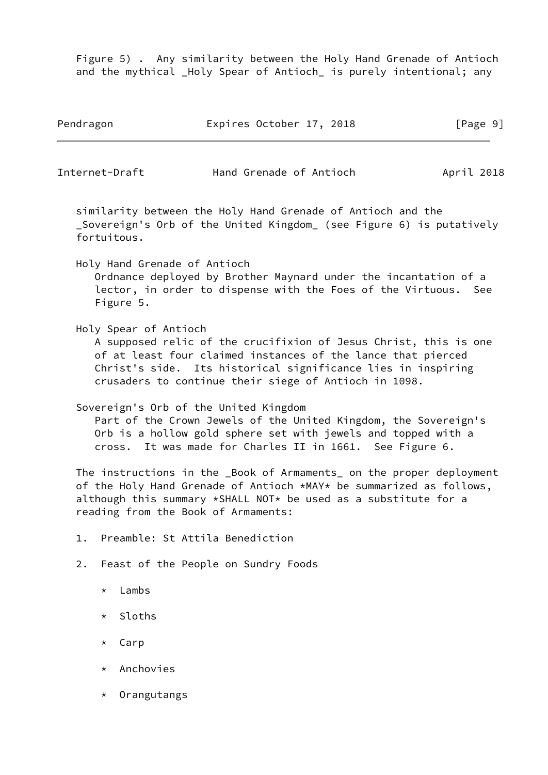Figure 5) . Any similarity between the Holy Hand Grenade of Antioch and the mythical \_Holy Spear of Antioch\_ is purely intentional; any

| Pendragon | Expires October 17, 2018 | [Page 9] |
|-----------|--------------------------|----------|
|-----------|--------------------------|----------|

Internet-Draft Hand Grenade of Antioch April 2018

 similarity between the Holy Hand Grenade of Antioch and the Sovereign's Orb of the United Kingdom (see Figure 6) is putatively fortuitous.

Holy Hand Grenade of Antioch

 Ordnance deployed by Brother Maynard under the incantation of a lector, in order to dispense with the Foes of the Virtuous. See Figure 5.

Holy Spear of Antioch

 A supposed relic of the crucifixion of Jesus Christ, this is one of at least four claimed instances of the lance that pierced Christ's side. Its historical significance lies in inspiring crusaders to continue their siege of Antioch in 1098.

Sovereign's Orb of the United Kingdom

 Part of the Crown Jewels of the United Kingdom, the Sovereign's Orb is a hollow gold sphere set with jewels and topped with a cross. It was made for Charles II in 1661. See Figure 6.

The instructions in the Book of Armaments on the proper deployment of the Holy Hand Grenade of Antioch \*MAY\* be summarized as follows, although this summary  $*$ SHALL NOT $*$  be used as a substitute for a reading from the Book of Armaments:

- 1. Preamble: St Attila Benediction
- 2. Feast of the People on Sundry Foods
	- \* Lambs
	- \* Sloths
	- \* Carp
	- \* Anchovies
	- \* Orangutangs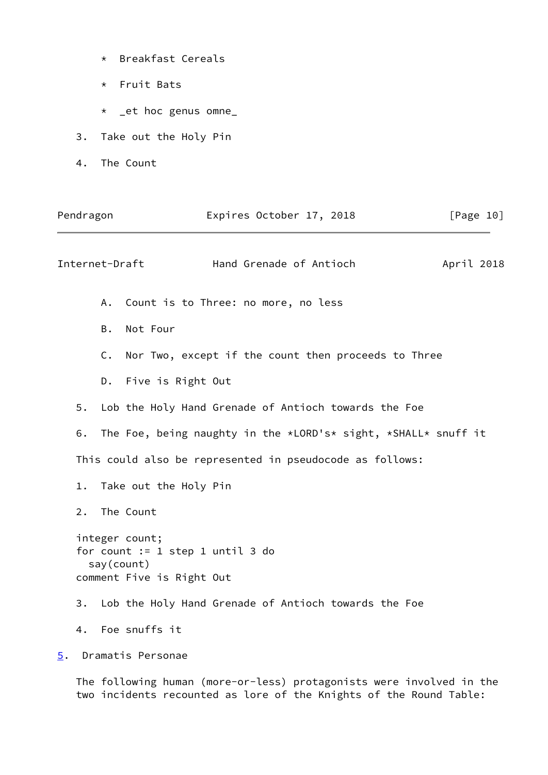- \* Breakfast Cereals
- \* Fruit Bats
- \* \_et hoc genus omne\_
- 3. Take out the Holy Pin
- 4. The Count

<span id="page-11-1"></span>

|                  | Pendragon |                | Expires October 17, 2018                                                                        | [Page 10]  |
|------------------|-----------|----------------|-------------------------------------------------------------------------------------------------|------------|
|                  |           | Internet-Draft | Hand Grenade of Antioch                                                                         | April 2018 |
|                  |           | A.             | Count is to Three: no more, no less                                                             |            |
|                  |           | B.             | Not Four                                                                                        |            |
|                  |           | $\mathsf{C}$ . | Nor Two, except if the count then proceeds to Three                                             |            |
|                  |           |                | D. Five is Right Out                                                                            |            |
|                  | 5.        |                | Lob the Holy Hand Grenade of Antioch towards the Foe                                            |            |
|                  | 6.        |                | The Foe, being naughty in the *LORD's* sight, *SHALL* snuff it                                  |            |
|                  |           |                | This could also be represented in pseudocode as follows:                                        |            |
|                  | $1$ .     |                | Take out the Holy Pin                                                                           |            |
|                  | 2.        |                | The Count                                                                                       |            |
|                  |           |                | integer count;<br>for count $:= 1$ step 1 until 3 do<br>say(count)<br>comment Five is Right Out |            |
|                  |           |                | 3. Lob the Holy Hand Grenade of Antioch towards the Foe                                         |            |
|                  |           |                | 4. Foe snuffs it                                                                                |            |
| $\overline{5}$ . |           |                | Dramatis Personae                                                                               |            |

<span id="page-11-0"></span> The following human (more-or-less) protagonists were involved in the two incidents recounted as lore of the Knights of the Round Table: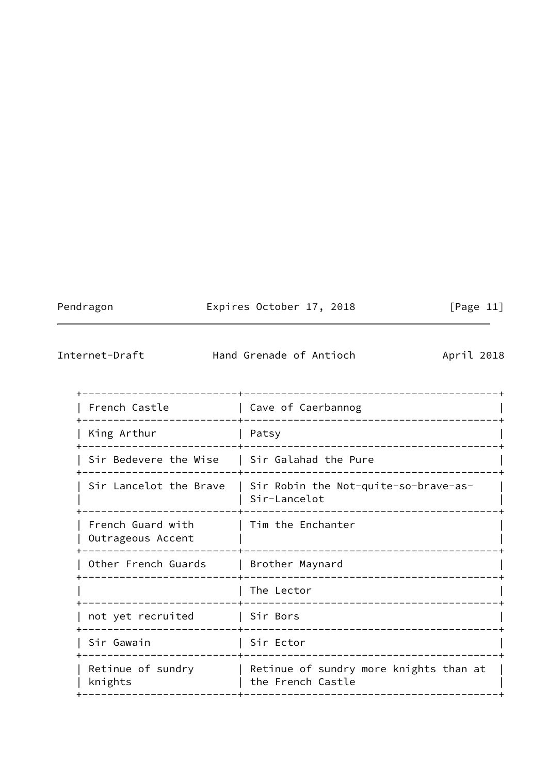Pendragon **Expires October 17, 2018** [Page 11]

<span id="page-12-0"></span>Internet-Draft Hand Grenade of Antioch April 2018

| French Castle                          | Cave of Caerbannog                                          |
|----------------------------------------|-------------------------------------------------------------|
| King Arthur                            | Patsy                                                       |
| Sir Bedevere the Wise                  | Sir Galahad the Pure                                        |
| Sir Lancelot the Brave                 | Sir Robin the Not-quite-so-brave-as-<br>Sir-Lancelot        |
| French Guard with<br>Outrageous Accent | Tim the Enchanter                                           |
| Other French Guards                    | Brother Maynard                                             |
|                                        | The Lector                                                  |
| not yet recruited                      | Sir Bors                                                    |
| Sir Gawain                             | Sir Ector                                                   |
| Retinue of sundry<br>knights           | Retinue of sundry more knights than at<br>the French Castle |
|                                        |                                                             |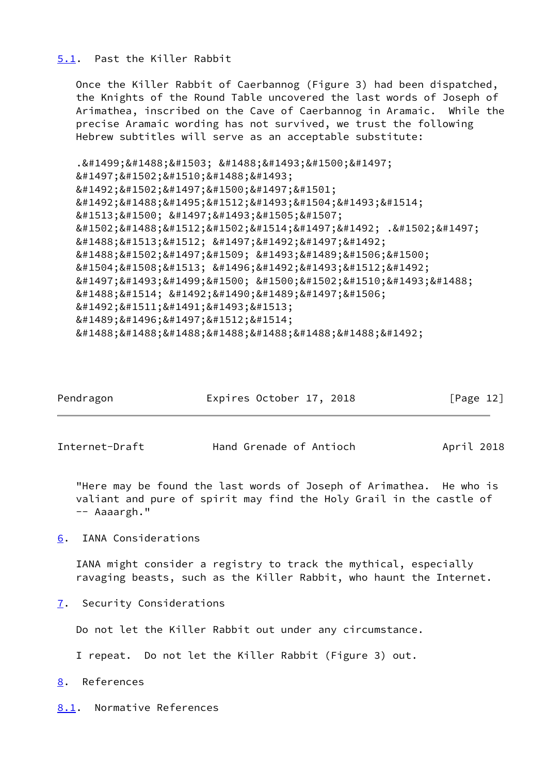#### <span id="page-13-0"></span>[5.1](#page-13-0). Past the Killer Rabbit

 Once the Killer Rabbit of Caerbannog (Figure 3) had been dispatched, the Knights of the Round Table uncovered the last words of Joseph of Arimathea, inscribed on the Cave of Caerbannog in Aramaic. While the precise Aramaic wording has not survived, we trust the following Hebrew subtitles will serve as an acceptable substitute:

```
.כאן אולי
י מ צ א ו
ה מ י ל י ם
האחרונות
של יוסף
מארמתיה .מי
אשר יהיה
&#1488;&#1502;&#1497;&#1509;&#1493;&#1489;&#1506;&#1500;
נפש טהורה
יוכל למצוא
את הגביע
ה ק ד ו ש
ב ט י ר ת
אאאאאאה
```

| Pendragon | Expires October 17, 2018 | [Page 12] |
|-----------|--------------------------|-----------|
|           |                          |           |

<span id="page-13-2"></span>Internet-Draft Hand Grenade of Antioch April 2018

 "Here may be found the last words of Joseph of Arimathea. He who is valiant and pure of spirit may find the Holy Grail in the castle of -- Aaaargh."

<span id="page-13-1"></span>[6](#page-13-1). IANA Considerations

 IANA might consider a registry to track the mythical, especially ravaging beasts, such as the Killer Rabbit, who haunt the Internet.

<span id="page-13-3"></span>[7](#page-13-3). Security Considerations

Do not let the Killer Rabbit out under any circumstance.

I repeat. Do not let the Killer Rabbit (Figure 3) out.

<span id="page-13-4"></span>[8](#page-13-4). References

<span id="page-13-5"></span>[8.1](#page-13-5). Normative References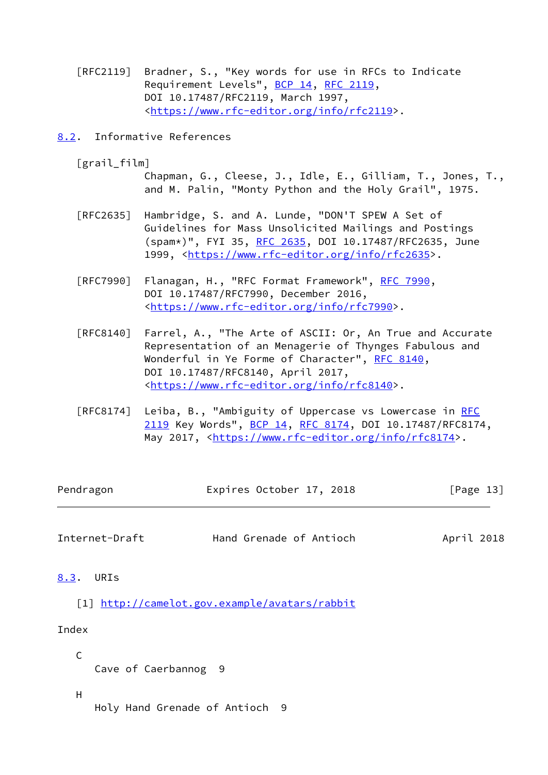- [RFC2119] Bradner, S., "Key words for use in RFCs to Indicate Requirement Levels", [BCP 14](https://datatracker.ietf.org/doc/pdf/bcp14), [RFC 2119](https://datatracker.ietf.org/doc/pdf/rfc2119), DOI 10.17487/RFC2119, March 1997, <[https://www.rfc-editor.org/info/rfc2119>](https://www.rfc-editor.org/info/rfc2119).
- <span id="page-14-0"></span>[8.2](#page-14-0). Informative References
	- [grail\_film]

 Chapman, G., Cleese, J., Idle, E., Gilliam, T., Jones, T., and M. Palin, "Monty Python and the Holy Grail", 1975.

- [RFC2635] Hambridge, S. and A. Lunde, "DON'T SPEW A Set of Guidelines for Mass Unsolicited Mailings and Postings (spam\*)", FYI 35, [RFC 2635](https://datatracker.ietf.org/doc/pdf/rfc2635), DOI 10.17487/RFC2635, June 1999, [<https://www.rfc-editor.org/info/rfc2635](https://www.rfc-editor.org/info/rfc2635)>.
- [RFC7990] Flanagan, H., "RFC Format Framework", [RFC 7990](https://datatracker.ietf.org/doc/pdf/rfc7990), DOI 10.17487/RFC7990, December 2016, <[https://www.rfc-editor.org/info/rfc7990>](https://www.rfc-editor.org/info/rfc7990).
- [RFC8140] Farrel, A., "The Arte of ASCII: Or, An True and Accurate Representation of an Menagerie of Thynges Fabulous and Wonderful in Ye Forme of Character", [RFC 8140](https://datatracker.ietf.org/doc/pdf/rfc8140), DOI 10.17487/RFC8140, April 2017, <[https://www.rfc-editor.org/info/rfc8140>](https://www.rfc-editor.org/info/rfc8140).
- [RFC8174] Leiba, B., "Ambiguity of Uppercase vs Lowercase in [RFC](https://datatracker.ietf.org/doc/pdf/rfc2119) [2119](https://datatracker.ietf.org/doc/pdf/rfc2119) Key Words", [BCP 14](https://datatracker.ietf.org/doc/pdf/bcp14), [RFC 8174,](https://datatracker.ietf.org/doc/pdf/rfc8174) DOI 10.17487/RFC8174, May 2017, [<https://www.rfc-editor.org/info/rfc8174](https://www.rfc-editor.org/info/rfc8174)>.

| Pendragon | Expires October 17, 2018 | [Page 13] |
|-----------|--------------------------|-----------|
|           |                          |           |

- <span id="page-14-2"></span>Internet-Draft Hand Grenade of Antioch April 2018
- <span id="page-14-3"></span><span id="page-14-1"></span>[8.3](#page-14-1). URIs
	- [1] <http://camelot.gov.example/avatars/rabbit>

### Index

Cave of Caerbannog 9

### H

C

Holy Hand Grenade of Antioch 9